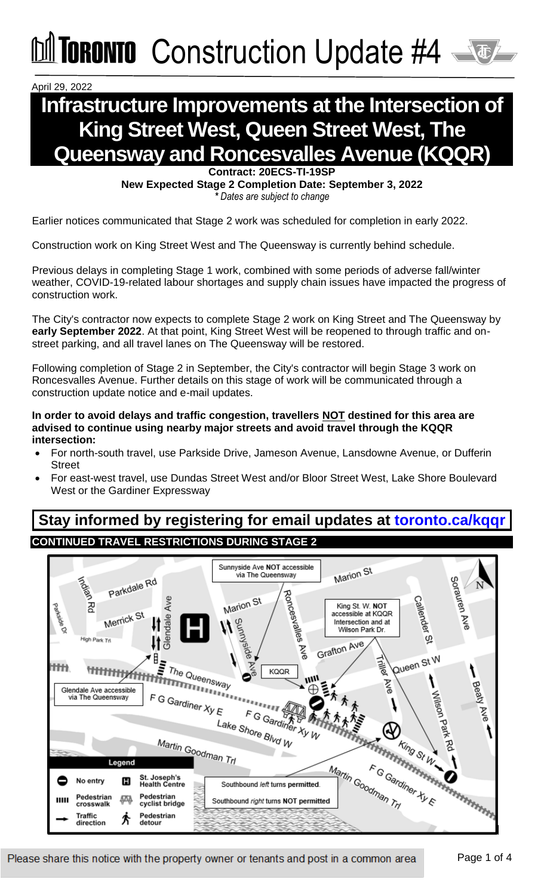Construction Update #4

April 29, 2022

### **Infrastructure Improvements at the Intersection of King Street West, Queen Street West, The Queensway and Roncesvalles Avenue (KQQR)**

**Contract: 20ECS-TI-19SP New Expected Stage 2 Completion Date: September 3, 2022** *\* Dates are subject to change*

Earlier notices communicated that Stage 2 work was scheduled for completion in early 2022.

Construction work on King Street West and The Queensway is currently behind schedule.

Previous delays in completing Stage 1 work, combined with some periods of adverse fall/winter weather, COVID-19-related labour shortages and supply chain issues have impacted the progress of construction work.

The City's contractor now expects to complete Stage 2 work on King Street and The Queensway by **early September 2022**. At that point, King Street West will be reopened to through traffic and onstreet parking, and all travel lanes on The Queensway will be restored.

Following completion of Stage 2 in September, the City's contractor will begin Stage 3 work on Roncesvalles Avenue. Further details on this stage of work will be communicated through a construction update notice and e-mail updates.

**In order to avoid delays and traffic congestion, travellers NOT destined for this area are advised to continue using nearby major streets and avoid travel through the KQQR intersection:** 

- For north-south travel, use Parkside Drive, Jameson Avenue, Lansdowne Avenue, or Dufferin **Street**
- For east-west travel, use Dundas Street West and/or Bloor Street West, Lake Shore Boulevard West or the Gardiner Expressway

**Stay informed by registering for email updates at [toronto.ca/kqqr](http://www.toronto.ca/kqqr) CONTINUED TRAVEL RESTRICTIONS DURING STAGE 2** 

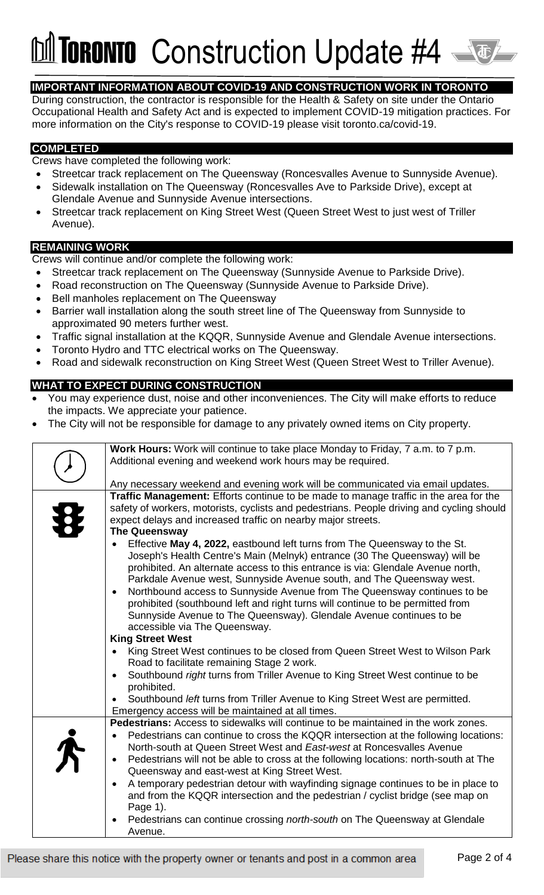## **TORONTO** Construction Update #4

#### **IMPORTANT INFORMATION ABOUT COVID-19 AND CONSTRUCTION WORK IN TORONTO**

During construction, the contractor is responsible for the Health & Safety on site under the Ontario Occupational Health and Safety Act and is expected to implement COVID-19 mitigation practices. For more information on the City's response to COVID-19 please visit [toronto.ca/covid-19.](http://www.toronto.ca/covid-19)

#### **COMPLETED**

Crews have completed the following work:

- Streetcar track replacement on The Queensway (Roncesvalles Avenue to Sunnyside Avenue).
- Sidewalk installation on The Queensway (Roncesvalles Ave to Parkside Drive), except at Glendale Avenue and Sunnyside Avenue intersections.
- Streetcar track replacement on King Street West (Queen Street West to just west of Triller Avenue).

#### **REMAINING WORK**

Crews will continue and/or complete the following work:

- Streetcar track replacement on The Queensway (Sunnyside Avenue to Parkside Drive).
- Road reconstruction on The Queensway (Sunnyside Avenue to Parkside Drive).
- Bell manholes replacement on The Queensway
- Barrier wall installation along the south street line of The Queensway from Sunnyside to approximated 90 meters further west.
- Traffic signal installation at the KQQR, Sunnyside Avenue and Glendale Avenue intersections.
- Toronto Hydro and TTC electrical works on The Queensway.
- Road and sidewalk reconstruction on King Street West (Queen Street West to Triller Avenue).

#### **WHAT TO EXPECT DURING CONSTRUCTION**

- You may experience dust, noise and other inconveniences. The City will make efforts to reduce the impacts. We appreciate your patience.
- The City will not be responsible for damage to any privately owned items on City property.

| Work Hours: Work will continue to take place Monday to Friday, 7 a.m. to 7 p.m.<br>Additional evening and weekend work hours may be required.<br>Any necessary weekend and evening work will be communicated via email updates.<br>Traffic Management: Efforts continue to be made to manage traffic in the area for the<br>safety of workers, motorists, cyclists and pedestrians. People driving and cycling should<br>expect delays and increased traffic on nearby major streets.<br><b>The Queensway</b><br>Effective May 4, 2022, eastbound left turns from The Queensway to the St.<br>Joseph's Health Centre's Main (Melnyk) entrance (30 The Queensway) will be<br>prohibited. An alternate access to this entrance is via: Glendale Avenue north,<br>Parkdale Avenue west, Sunnyside Avenue south, and The Queensway west.<br>Northbound access to Sunnyside Avenue from The Queensway continues to be<br>prohibited (southbound left and right turns will continue to be permitted from<br>Sunnyside Avenue to The Queensway). Glendale Avenue continues to be<br>accessible via The Queensway.<br><b>King Street West</b><br>King Street West continues to be closed from Queen Street West to Wilson Park<br>Road to facilitate remaining Stage 2 work.<br>Southbound right turns from Triller Avenue to King Street West continue to be<br>prohibited.<br>Southbound left turns from Triller Avenue to King Street West are permitted.<br>Emergency access will be maintained at all times.<br><b>Pedestrians:</b> Access to sidewalks will continue to be maintained in the work zones. |
|--------------------------------------------------------------------------------------------------------------------------------------------------------------------------------------------------------------------------------------------------------------------------------------------------------------------------------------------------------------------------------------------------------------------------------------------------------------------------------------------------------------------------------------------------------------------------------------------------------------------------------------------------------------------------------------------------------------------------------------------------------------------------------------------------------------------------------------------------------------------------------------------------------------------------------------------------------------------------------------------------------------------------------------------------------------------------------------------------------------------------------------------------------------------------------------------------------------------------------------------------------------------------------------------------------------------------------------------------------------------------------------------------------------------------------------------------------------------------------------------------------------------------------------------------------------------------------------------------------|
|                                                                                                                                                                                                                                                                                                                                                                                                                                                                                                                                                                                                                                                                                                                                                                                                                                                                                                                                                                                                                                                                                                                                                                                                                                                                                                                                                                                                                                                                                                                                                                                                        |
|                                                                                                                                                                                                                                                                                                                                                                                                                                                                                                                                                                                                                                                                                                                                                                                                                                                                                                                                                                                                                                                                                                                                                                                                                                                                                                                                                                                                                                                                                                                                                                                                        |
|                                                                                                                                                                                                                                                                                                                                                                                                                                                                                                                                                                                                                                                                                                                                                                                                                                                                                                                                                                                                                                                                                                                                                                                                                                                                                                                                                                                                                                                                                                                                                                                                        |
|                                                                                                                                                                                                                                                                                                                                                                                                                                                                                                                                                                                                                                                                                                                                                                                                                                                                                                                                                                                                                                                                                                                                                                                                                                                                                                                                                                                                                                                                                                                                                                                                        |
|                                                                                                                                                                                                                                                                                                                                                                                                                                                                                                                                                                                                                                                                                                                                                                                                                                                                                                                                                                                                                                                                                                                                                                                                                                                                                                                                                                                                                                                                                                                                                                                                        |
|                                                                                                                                                                                                                                                                                                                                                                                                                                                                                                                                                                                                                                                                                                                                                                                                                                                                                                                                                                                                                                                                                                                                                                                                                                                                                                                                                                                                                                                                                                                                                                                                        |
| Pedestrians can continue to cross the KQQR intersection at the following locations:<br>North-south at Queen Street West and East-west at Roncesvalles Avenue<br>Pedestrians will not be able to cross at the following locations: north-south at The<br>Queensway and east-west at King Street West.<br>A temporary pedestrian detour with wayfinding signage continues to be in place to<br>and from the KQQR intersection and the pedestrian / cyclist bridge (see map on<br>Page 1).<br>Pedestrians can continue crossing north-south on The Queensway at Glendale                                                                                                                                                                                                                                                                                                                                                                                                                                                                                                                                                                                                                                                                                                                                                                                                                                                                                                                                                                                                                                  |
| Avenue.                                                                                                                                                                                                                                                                                                                                                                                                                                                                                                                                                                                                                                                                                                                                                                                                                                                                                                                                                                                                                                                                                                                                                                                                                                                                                                                                                                                                                                                                                                                                                                                                |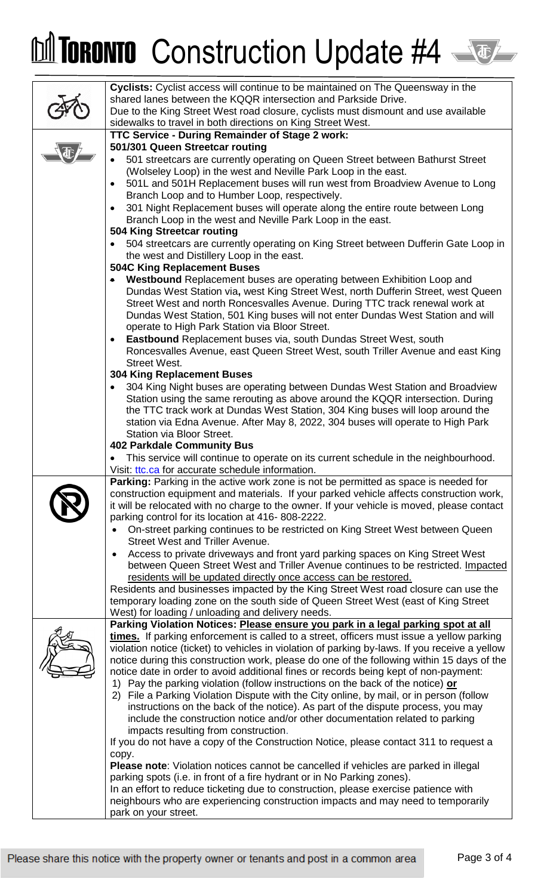# M TORONTO Construction Update #4

| Cyclists: Cyclist access will continue to be maintained on The Queensway in the                                                                                         |
|-------------------------------------------------------------------------------------------------------------------------------------------------------------------------|
| shared lanes between the KQQR intersection and Parkside Drive.                                                                                                          |
| Due to the King Street West road closure, cyclists must dismount and use available                                                                                      |
| sidewalks to travel in both directions on King Street West.                                                                                                             |
| TTC Service - During Remainder of Stage 2 work:                                                                                                                         |
| 501/301 Queen Streetcar routing                                                                                                                                         |
| 501 streetcars are currently operating on Queen Street between Bathurst Street                                                                                          |
| (Wolseley Loop) in the west and Neville Park Loop in the east.                                                                                                          |
| 501L and 501H Replacement buses will run west from Broadview Avenue to Long                                                                                             |
| Branch Loop and to Humber Loop, respectively.<br>301 Night Replacement buses will operate along the entire route between Long                                           |
| $\bullet$<br>Branch Loop in the west and Neville Park Loop in the east.                                                                                                 |
| 504 King Streetcar routing                                                                                                                                              |
| 504 streetcars are currently operating on King Street between Dufferin Gate Loop in                                                                                     |
| the west and Distillery Loop in the east.                                                                                                                               |
| <b>504C King Replacement Buses</b>                                                                                                                                      |
| Westbound Replacement buses are operating between Exhibition Loop and                                                                                                   |
| Dundas West Station via, west King Street West, north Dufferin Street, west Queen                                                                                       |
| Street West and north Roncesvalles Avenue. During TTC track renewal work at                                                                                             |
| Dundas West Station, 501 King buses will not enter Dundas West Station and will                                                                                         |
| operate to High Park Station via Bloor Street.                                                                                                                          |
| <b>Eastbound</b> Replacement buses via, south Dundas Street West, south<br>$\bullet$                                                                                    |
| Roncesvalles Avenue, east Queen Street West, south Triller Avenue and east King                                                                                         |
| <b>Street West.</b>                                                                                                                                                     |
| <b>304 King Replacement Buses</b><br>304 King Night buses are operating between Dundas West Station and Broadview                                                       |
| Station using the same rerouting as above around the KQQR intersection. During                                                                                          |
| the TTC track work at Dundas West Station, 304 King buses will loop around the                                                                                          |
| station via Edna Avenue. After May 8, 2022, 304 buses will operate to High Park                                                                                         |
| Station via Bloor Street.                                                                                                                                               |
| <b>402 Parkdale Community Bus</b>                                                                                                                                       |
| This service will continue to operate on its current schedule in the neighbourhood.<br>$\bullet$                                                                        |
| Visit: ttc.ca for accurate schedule information.                                                                                                                        |
| <b>Parking:</b> Parking in the active work zone is not be permitted as space is needed for                                                                              |
| construction equipment and materials. If your parked vehicle affects construction work,                                                                                 |
| it will be relocated with no charge to the owner. If your vehicle is moved, please contact                                                                              |
| parking control for its location at 416-808-2222.                                                                                                                       |
| On-street parking continues to be restricted on King Street West between Queen<br><b>Street West and Triller Avenue.</b>                                                |
| Access to private driveways and front yard parking spaces on King Street West<br>$\bullet$                                                                              |
| between Queen Street West and Triller Avenue continues to be restricted. Impacted                                                                                       |
| residents will be updated directly once access can be restored.                                                                                                         |
| Residents and businesses impacted by the King Street West road closure can use the                                                                                      |
| temporary loading zone on the south side of Queen Street West (east of King Street                                                                                      |
| West) for loading / unloading and delivery needs.                                                                                                                       |
| Parking Violation Notices: Please ensure you park in a legal parking spot at all                                                                                        |
| times. If parking enforcement is called to a street, officers must issue a yellow parking                                                                               |
| violation notice (ticket) to vehicles in violation of parking by-laws. If you receive a yellow                                                                          |
| notice during this construction work, please do one of the following within 15 days of the                                                                              |
| notice date in order to avoid additional fines or records being kept of non-payment:<br>1) Pay the parking violation (follow instructions on the back of the notice) or |
| 2) File a Parking Violation Dispute with the City online, by mail, or in person (follow                                                                                 |
| instructions on the back of the notice). As part of the dispute process, you may                                                                                        |
| include the construction notice and/or other documentation related to parking                                                                                           |
| impacts resulting from construction.                                                                                                                                    |
| If you do not have a copy of the Construction Notice, please contact 311 to request a                                                                                   |
| copy.                                                                                                                                                                   |
| Please note: Violation notices cannot be cancelled if vehicles are parked in illegal                                                                                    |
| parking spots (i.e. in front of a fire hydrant or in No Parking zones).                                                                                                 |
| In an effort to reduce ticketing due to construction, please exercise patience with                                                                                     |
| neighbours who are experiencing construction impacts and may need to temporarily                                                                                        |
| park on your street.                                                                                                                                                    |